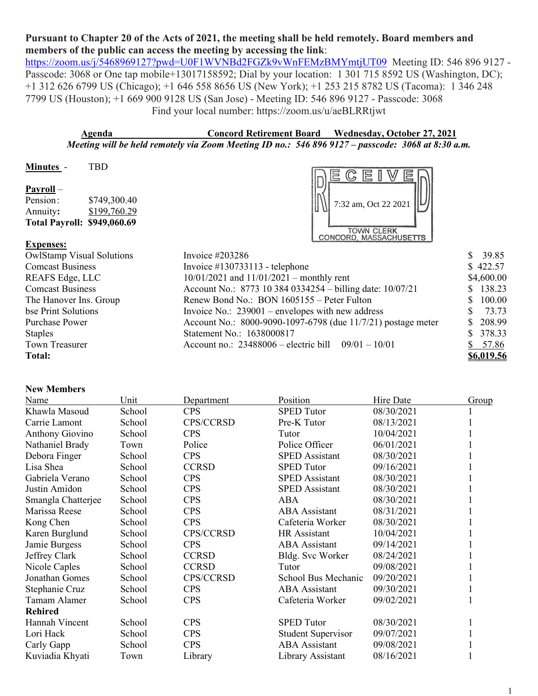## **Pursuant to Chapter 20 of the Acts of 2021, the meeting shall be held remotely. Board members and members of the public can access the meeting by accessing the link**:

<https://zoom.us/j/5468969127?pwd=U0F1WVNBd2FGZk9vWnFEMzBMYmtjUT09>Meeting ID: 546 896 9127 -Passcode: 3068 or One tap mobile+13017158592; Dial by your location: 1 301 715 8592 US (Washington, DC); +1 312 626 6799 US (Chicago); +1 646 558 8656 US (New York); +1 253 215 8782 US (Tacoma): 1 346 248 7799 US (Houston); +1 669 900 9128 US (San Jose) - Meeting ID: 546 896 9127 - Passcode: 3068 Find your local number: https://zoom.us/u/aeBLRRtjwt

**Agenda Concord Retirement Board Wednesday, October 27, 2021** *Meeting will be held remotely via Zoom Meeting ID no.: 546 896 9127 – passcode: 3068 at 8:30 a.m.*

| <b>Minutes</b>                     | TBD          |                               |
|------------------------------------|--------------|-------------------------------|
|                                    |              | $\Xi$<br>$\equiv$             |
| Payroll –                          |              |                               |
| Pension:                           | \$749,300.40 | 7:32 am, Oct 22 2021 $  \cup$ |
| Annuity:                           | \$199,760.29 |                               |
| <b>Total Payroll: \$949,060.69</b> |              |                               |
|                                    |              | <b>TOWN CLERK</b>             |
|                                    |              | <b>CONCORD, MASSACHUSETTS</b> |

## **Expenses:**

| <b>OwlStamp Visual Solutions</b> | Invoice $\#203286$                                           | \$39.85    |
|----------------------------------|--------------------------------------------------------------|------------|
| <b>Comcast Business</b>          | Invoice $\#130733113$ - telephone                            | \$422.57   |
| REAFS Edge, LLC                  | $10/01/2021$ and $11/01/2021$ – monthly rent                 | \$4,600.00 |
| <b>Comcast Business</b>          | Account No.: 8773 10 384 0334254 – billing date: 10/07/21    | \$138.23   |
| The Hanover Ins. Group           | Renew Bond No.: BON 1605155 – Peter Fulton                   | \$100.00   |
| bse Print Solutions              | Invoice No.: $239001$ – envelopes with new address           | 73.73      |
| Purchase Power                   | Account No.: 8000-9090-1097-6798 (due 11/7/21) postage meter | \$208.99   |
| <b>Staples</b>                   | Statement No.: 1638000817                                    | \$378.33   |
| <b>Town Treasurer</b>            | Account no.: $23488006$ – electric bill $09/01 - 10/01$      | \$57.86    |
| <b>Total:</b>                    |                                                              | \$6,019.56 |

## **New Members**

| Name                   | Unit   | Department   | Position                  | Hire Date  | Group |
|------------------------|--------|--------------|---------------------------|------------|-------|
| Khawla Masoud          | School | <b>CPS</b>   | <b>SPED Tutor</b>         | 08/30/2021 |       |
| Carrie Lamont          | School | CPS/CCRSD    | Pre-K Tutor               | 08/13/2021 |       |
| <b>Anthony Giovino</b> | School | <b>CPS</b>   | Tutor                     | 10/04/2021 |       |
| Nathaniel Brady        | Town   | Police       | Police Officer            | 06/01/2021 |       |
| Debora Finger          | School | <b>CPS</b>   | <b>SPED</b> Assistant     | 08/30/2021 |       |
| Lisa Shea              | School | <b>CCRSD</b> | <b>SPED Tutor</b>         | 09/16/2021 |       |
| Gabriela Verano        | School | <b>CPS</b>   | <b>SPED</b> Assistant     | 08/30/2021 |       |
| Justin Amidon          | School | <b>CPS</b>   | <b>SPED</b> Assistant     | 08/30/2021 |       |
| Smangla Chatterjee     | School | <b>CPS</b>   | ABA                       | 08/30/2021 |       |
| Marissa Reese          | School | <b>CPS</b>   | <b>ABA</b> Assistant      | 08/31/2021 |       |
| Kong Chen              | School | <b>CPS</b>   | Cafeteria Worker          | 08/30/2021 |       |
| Karen Burglund         | School | CPS/CCRSD    | HR Assistant              | 10/04/2021 |       |
| Jamie Burgess          | School | <b>CPS</b>   | <b>ABA</b> Assistant      | 09/14/2021 |       |
| Jeffrey Clark          | School | <b>CCRSD</b> | Bldg. Svc Worker          | 08/24/2021 |       |
| Nicole Caples          | School | <b>CCRSD</b> | Tutor                     | 09/08/2021 |       |
| Jonathan Gomes         | School | CPS/CCRSD    | School Bus Mechanic       | 09/20/2021 |       |
| Stephanie Cruz         | School | <b>CPS</b>   | <b>ABA</b> Assistant      | 09/30/2021 |       |
| Tamam Alamer           | School | <b>CPS</b>   | Cafeteria Worker          | 09/02/2021 |       |
| <b>Rehired</b>         |        |              |                           |            |       |
| Hannah Vincent         | School | <b>CPS</b>   | <b>SPED Tutor</b>         | 08/30/2021 |       |
| Lori Hack              | School | <b>CPS</b>   | <b>Student Supervisor</b> | 09/07/2021 |       |
| Carly Gapp             | School | <b>CPS</b>   | <b>ABA</b> Assistant      | 09/08/2021 |       |
| Kuviadia Khyati        | Town   | Library      | Library Assistant         | 08/16/2021 |       |